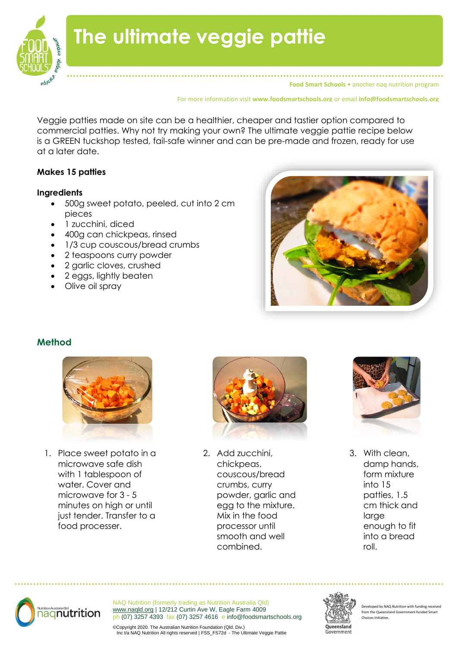

# **The ultimate veggie pattie**

**Food Smart Schools** • another naq nutrition program

For more information visit **www.foodsmartschools.org** or email **info@foodsmartschools.org**

Veggie patties made on site can be a healthier, cheaper and tastier option compared to commercial patties. Why not try making your own? The ultimate veggie pattie recipe below is a GREEN tuckshop tested, fail-safe winner and can be pre-made and frozen, ready for use at a later date.

#### **Makes 15 patties**

#### **Ingredients**

- 500g sweet potato, peeled, cut into 2 cm pieces
- 1 zucchini, diced
- 400g can chickpeas, rinsed
- 1/3 cup couscous/bread crumbs
- 2 teaspoons curry powder
- 2 garlic cloves, crushed
- 2 eggs, lightly beaten
- Olive oil spray



#### **Method**



1. Place sweet potato in a microwave safe dish with 1 tablespoon of water. Cover and microwave for 3 - 5 minutes on high or until just tender. Transfer to a food processer.



2. Add zucchini, chickpeas, couscous/bread crumbs, curry powder, garlic and egg to the mixture. Mix in the food processor until smooth and well combined.



3. With clean, damp hands, form mixture into 15 patties, 1.5 cm thick and large enough to fit into a bread roll.



NAQ Nutrition (formerly trading as Nutrition Australia Qld) [www.naqld.org](http://www.naqld.org/) | 12/212 Curtin Ave W, Eagle Farm 4009 ph (07) 3257 4393 fax (07) 3257 4616 e info@foodsmartschools.org



eveloped by NAQ Nutrition with funding received rom the Queensland Government fund Choices Initiative.

©Copyright 2020. The Australian Nutrition Foundation (Qld. Div.) Inc t/a NAQ Nutrition All rights reserved | FSS\_FS72d - The Ultimate Veggie Pattie